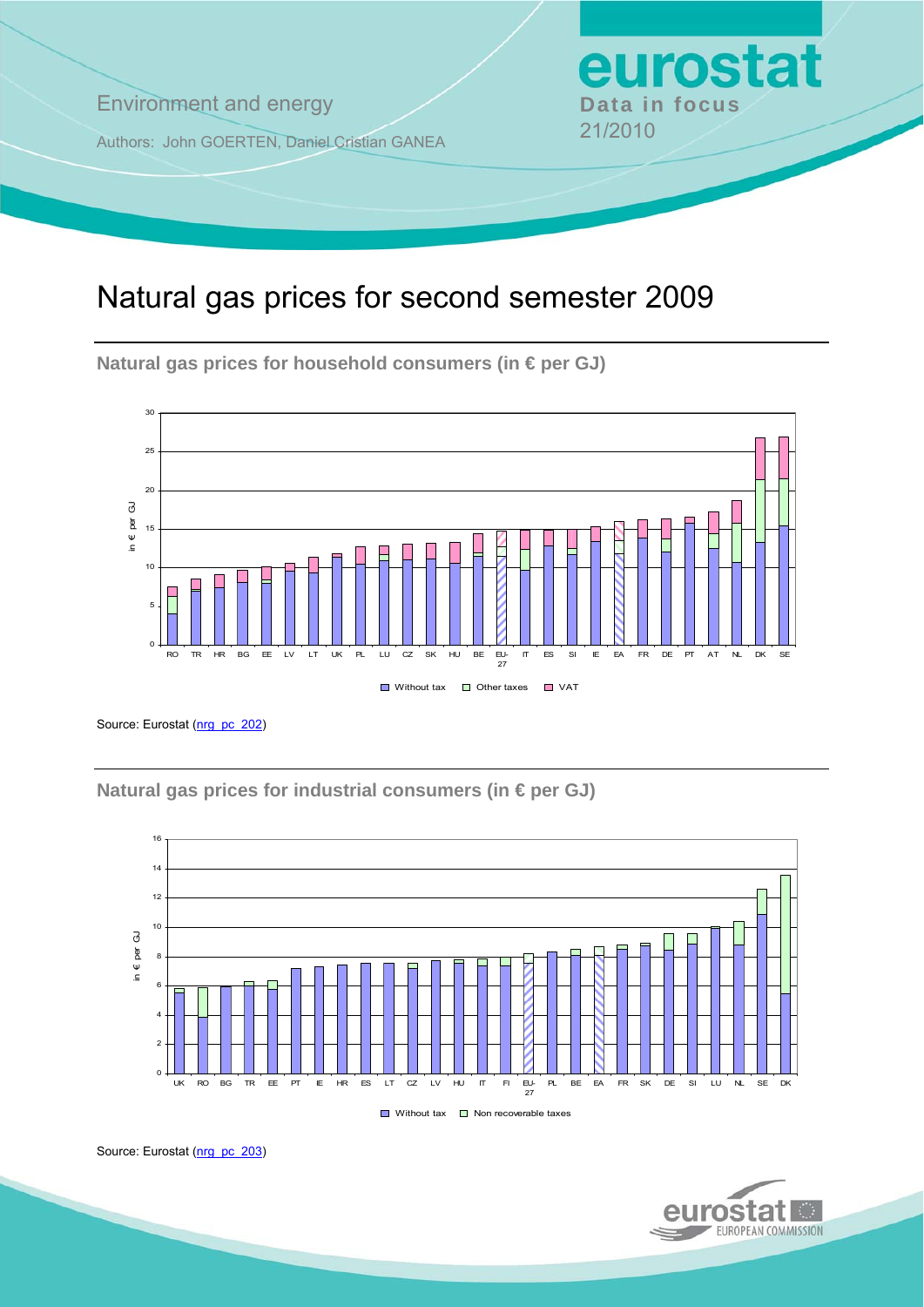**Environment and energy Bata in focus** 

Authors: John GOERTEN, Daniel Cristian GANEA 21/2010

# Natural gas prices for second semester 2009

**Natural gas prices for household consumers (in € per GJ)** 



Source: Eurostat ([nrg\\_pc\\_202](http://ec.europa.eu/eurostat/product?mode=view&code=nrg_pc_202))

**Natural gas prices for industrial consumers (in € per GJ)** 



Source: Eurostat ([nrg\\_pc\\_203](http://ec.europa.eu/eurostat/product?mode=view&code=nrg_pc_203))



eurostat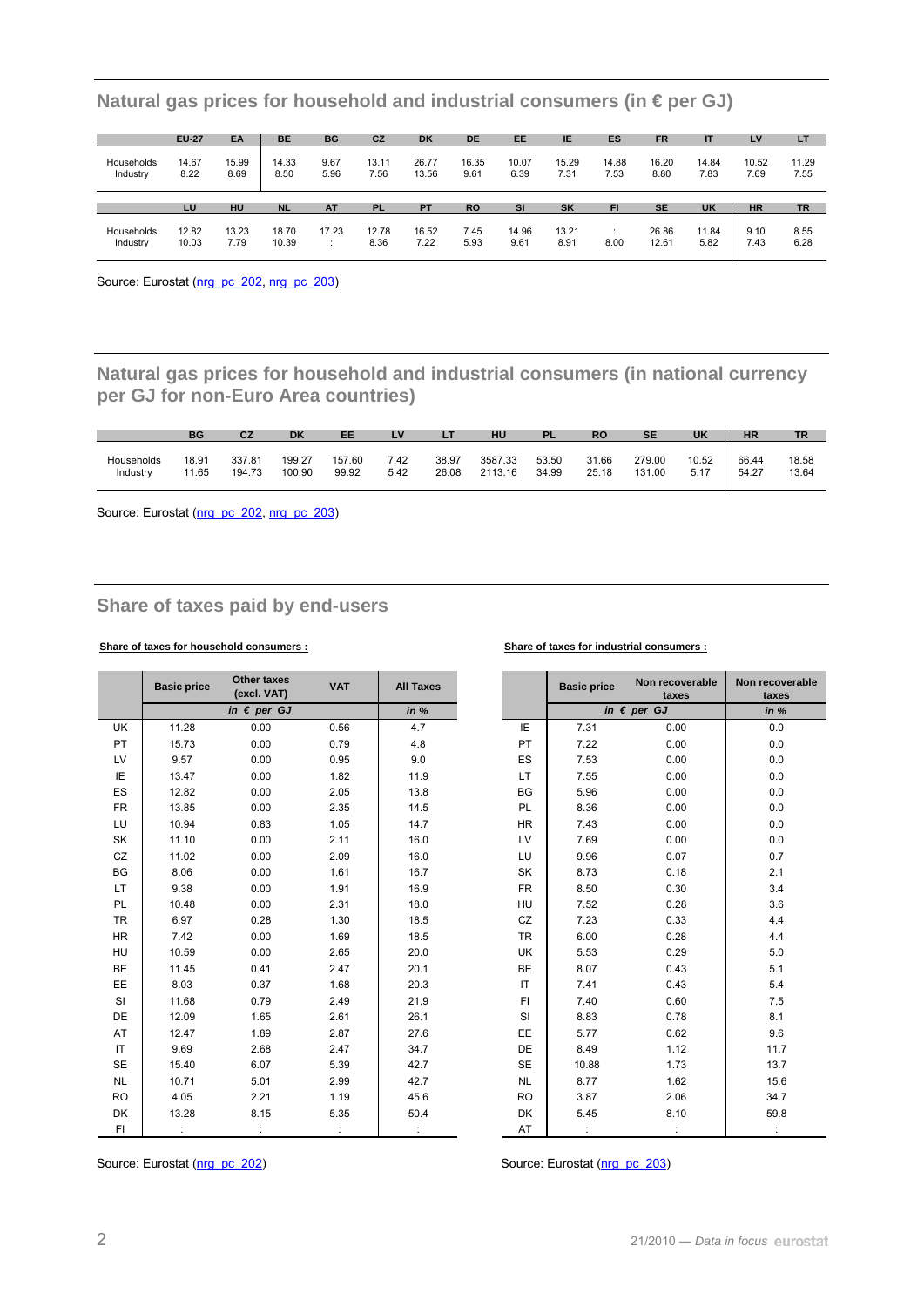|                        | <b>EU-27</b>  | EA            | <b>BE</b>     | BG           | CZ            | <b>DK</b>      | <b>DE</b>     | EE            | IE            | ES            | <b>FR</b>     |               | LV            | LT            |
|------------------------|---------------|---------------|---------------|--------------|---------------|----------------|---------------|---------------|---------------|---------------|---------------|---------------|---------------|---------------|
| Households<br>Industry | 14.67<br>8.22 | 15.99<br>8.69 | 14.33<br>8.50 | 9.67<br>5.96 | 13.11<br>7.56 | 26.77<br>13.56 | 16.35<br>9.61 | 10.07<br>6.39 | 15.29<br>7.31 | 14.88<br>7.53 | 16.20<br>8.80 | 14.84<br>7.83 | 10.52<br>7.69 | 11.29<br>7.55 |
|                        |               |               |               |              |               |                |               |               |               |               |               |               |               |               |
|                        | LU            | HU            | <b>NL</b>     | <b>AT</b>    | <b>PL</b>     | <b>PT</b>      | <b>RO</b>     | <b>SI</b>     | <b>SK</b>     | FI            | <b>SE</b>     | <b>UK</b>     | <b>HR</b>     | <b>TR</b>     |

**Natural gas prices for household and industrial consumers (in € per GJ)** 

Source: Eurostat ([nrg\\_pc\\_202](http://ec.europa.eu/eurostat/product?mode=view&code=nrg_pc_202), [nrg\\_pc\\_203\)](http://ec.europa.eu/eurostat/product?mode=view&code=nrg_pc_203)

**Natural gas prices for household and industrial consumers (in national currency per GJ for non-Euro Area countries)** 

|            | <b>BG</b> | CZ     | <b>DK</b> | EE     | LV   |       | HU      | <b>PL</b> | <b>RO</b> | <b>SE</b> | <b>UK</b> | HR    | TR    |
|------------|-----------|--------|-----------|--------|------|-------|---------|-----------|-----------|-----------|-----------|-------|-------|
| Households | 18.91     | 337.81 | 199.27    | 157.60 | 7.42 | 38.97 | 3587.33 | 53.50     | 31.66     | 279.00    | 10.52     | 66.44 | 18.58 |
| Industry   | 11.65     | 194.73 | 100.90    | 99.92  | 5.42 | 26.08 | 2113.16 | 34.99     | 25.18     | 131.00    | 5.17      | 54.27 | 13.64 |

Source: Eurostat ([nrg\\_pc\\_202](http://ec.europa.eu/eurostat/product?mode=view&code=nrg_pc_202), [nrg\\_pc\\_203\)](http://ec.europa.eu/eurostat/product?mode=view&code=nrg_pc_203)

## **Share of taxes paid by end-users**

#### **Share of taxes for household consumers : Share of taxes for industrial consumers :**

|           | <b>Basic price</b> | <b>Other taxes</b>                  | <b>VAT</b> | <b>All Taxes</b> |           | <b>Basic price</b> | Non recoverable               | Non recov       |
|-----------|--------------------|-------------------------------------|------------|------------------|-----------|--------------------|-------------------------------|-----------------|
|           |                    | (excl. VAT)<br>in $\epsilon$ per GJ |            | in %             |           |                    | taxes<br>in $\epsilon$ per GJ | taxe:<br>in $%$ |
|           |                    |                                     |            |                  |           |                    |                               |                 |
| <b>UK</b> | 11.28              | 0.00                                | 0.56       | 4.7              | IE        | 7.31               | 0.00                          | 0.0             |
| PT        | 15.73              | 0.00                                | 0.79       | 4.8              | PT        | 7.22               | 0.00                          | $0.0\,$         |
| LV        | 9.57               | 0.00                                | 0.95       | 9.0              | ES        | 7.53               | 0.00                          | $0.0\,$         |
| ΙE        | 13.47              | 0.00                                | 1.82       | 11.9             | LT.       | 7.55               | 0.00                          | $0.0\,$         |
| ES        | 12.82              | 0.00                                | 2.05       | 13.8             | BG        | 5.96               | 0.00                          | $0.0\,$         |
| <b>FR</b> | 13.85              | 0.00                                | 2.35       | 14.5             | PL        | 8.36               | 0.00                          | $0.0\,$         |
| LU        | 10.94              | 0.83                                | 1.05       | 14.7             | <b>HR</b> | 7.43               | 0.00                          | 0.0             |
| SK        | 11.10              | 0.00                                | 2.11       | 16.0             | <b>LV</b> | 7.69               | 0.00                          | 0.0             |
| CZ        | 11.02              | 0.00                                | 2.09       | 16.0             | LU        | 9.96               | 0.07                          | 0.7             |
| BG        | 8.06               | 0.00                                | 1.61       | 16.7             | SK        | 8.73               | 0.18                          | 2.1             |
| LT.       | 9.38               | 0.00                                | 1.91       | 16.9             | <b>FR</b> | 8.50               | 0.30                          | 3.4             |
| PL        | 10.48              | 0.00                                | 2.31       | 18.0             | <b>HU</b> | 7.52               | 0.28                          | 3.6             |
| <b>TR</b> | 6.97               | 0.28                                | 1.30       | 18.5             | CZ        | 7.23               | 0.33                          | 4.4             |
| <b>HR</b> | 7.42               | 0.00                                | 1.69       | 18.5             | TR        | 6.00               | 0.28                          | 4.4             |
| HU        | 10.59              | 0.00                                | 2.65       | 20.0             | UK        | 5.53               | 0.29                          | 5.0             |
| BE        | 11.45              | 0.41                                | 2.47       | 20.1             | <b>BE</b> | 8.07               | 0.43                          | 5.1             |
| EE        | 8.03               | 0.37                                | 1.68       | 20.3             | IT.       | 7.41               | 0.43                          | 5.4             |
| SI        | 11.68              | 0.79                                | 2.49       | 21.9             | FI.       | 7.40               | 0.60                          | 7.5             |
| <b>DE</b> | 12.09              | 1.65                                | 2.61       | 26.1             | SI        | 8.83               | 0.78                          | 8.1             |
| AT        | 12.47              | 1.89                                | 2.87       | 27.6             | EE.       | 5.77               | 0.62                          | 9.6             |
| IT.       | 9.69               | 2.68                                | 2.47       | 34.7             | DE        | 8.49               | 1.12                          | 11.7            |
| <b>SE</b> | 15.40              | 6.07                                | 5.39       | 42.7             | SE        | 10.88              | 1.73                          | 13.7            |
| <b>NL</b> | 10.71              | 5.01                                | 2.99       | 42.7             | <b>NL</b> | 8.77               | 1.62                          | 15.6            |
| <b>RO</b> | 4.05               | 2.21                                | 1.19       | 45.6             | <b>RO</b> | 3.87               | 2.06                          | 34.7            |
| DK        | 13.28              | 8.15                                | 5.35       | 50.4             | DK        | 5.45               | 8.10                          | 59.8            |
| FI.       |                    |                                     |            |                  | AT        |                    |                               |                 |

| I Taxes |           | <b>Basic price</b> | Non recoverable<br>taxes | Non recoverable<br>taxes |
|---------|-----------|--------------------|--------------------------|--------------------------|
| in %    |           |                    | in $\epsilon$ per GJ     | in %                     |
| 4.7     | IE        | 7.31               | 0.00                     | 0.0                      |
| 4.8     | PT        | 7.22               | 0.00                     | 0.0                      |
| 9.0     | ES        | 7.53               | 0.00                     | 0.0                      |
| 11.9    | LT.       | 7.55               | 0.00                     | 0.0                      |
| 13.8    | BG        | 5.96               | 0.00                     | 0.0                      |
| 14.5    | PL        | 8.36               | 0.00                     | 0.0                      |
| 14.7    | HR.       | 7.43               | 0.00                     | 0.0                      |
| 16.0    | LV        | 7.69               | 0.00                     | 0.0                      |
| 16.0    | LU        | 9.96               | 0.07                     | 0.7                      |
| 16.7    | SK        | 8.73               | 0.18                     | 2.1                      |
| 16.9    | <b>FR</b> | 8.50               | 0.30                     | 3.4                      |
| 18.0    | HU        | 7.52               | 0.28                     | 3.6                      |
| 18.5    | CZ        | 7.23               | 0.33                     | 4.4                      |
| 18.5    | <b>TR</b> | 6.00               | 0.28                     | 4.4                      |
| 20.0    | UK        | 5.53               | 0.29                     | 5.0                      |
| 20.1    | BE        | 8.07               | 0.43                     | 5.1                      |
| 20.3    | IT        | 7.41               | 0.43                     | 5.4                      |
| 21.9    | FI.       | 7.40               | 0.60                     | 7.5                      |
| 26.1    | SI        | 8.83               | 0.78                     | 8.1                      |
| 27.6    | EE        | 5.77               | 0.62                     | 9.6                      |
| 34.7    | DE        | 8.49               | 1.12                     | 11.7                     |
| 42.7    | <b>SE</b> | 10.88              | 1.73                     | 13.7                     |
| 42.7    | <b>NL</b> | 8.77               | 1.62                     | 15.6                     |
| 45.6    | <b>RO</b> | 3.87               | 2.06                     | 34.7                     |
| 50.4    | DK        | 5.45               | 8.10                     | 59.8                     |
|         | AT        |                    |                          |                          |

Source: Eurostat ([nrg\\_pc\\_202](http://ec.europa.eu/eurostat/product?mode=view&code=nrg_pc_202)) Source: Eurostat [\(nrg\\_pc\\_203\)](http://ec.europa.eu/eurostat/product?mode=view&code=nrg_pc_203)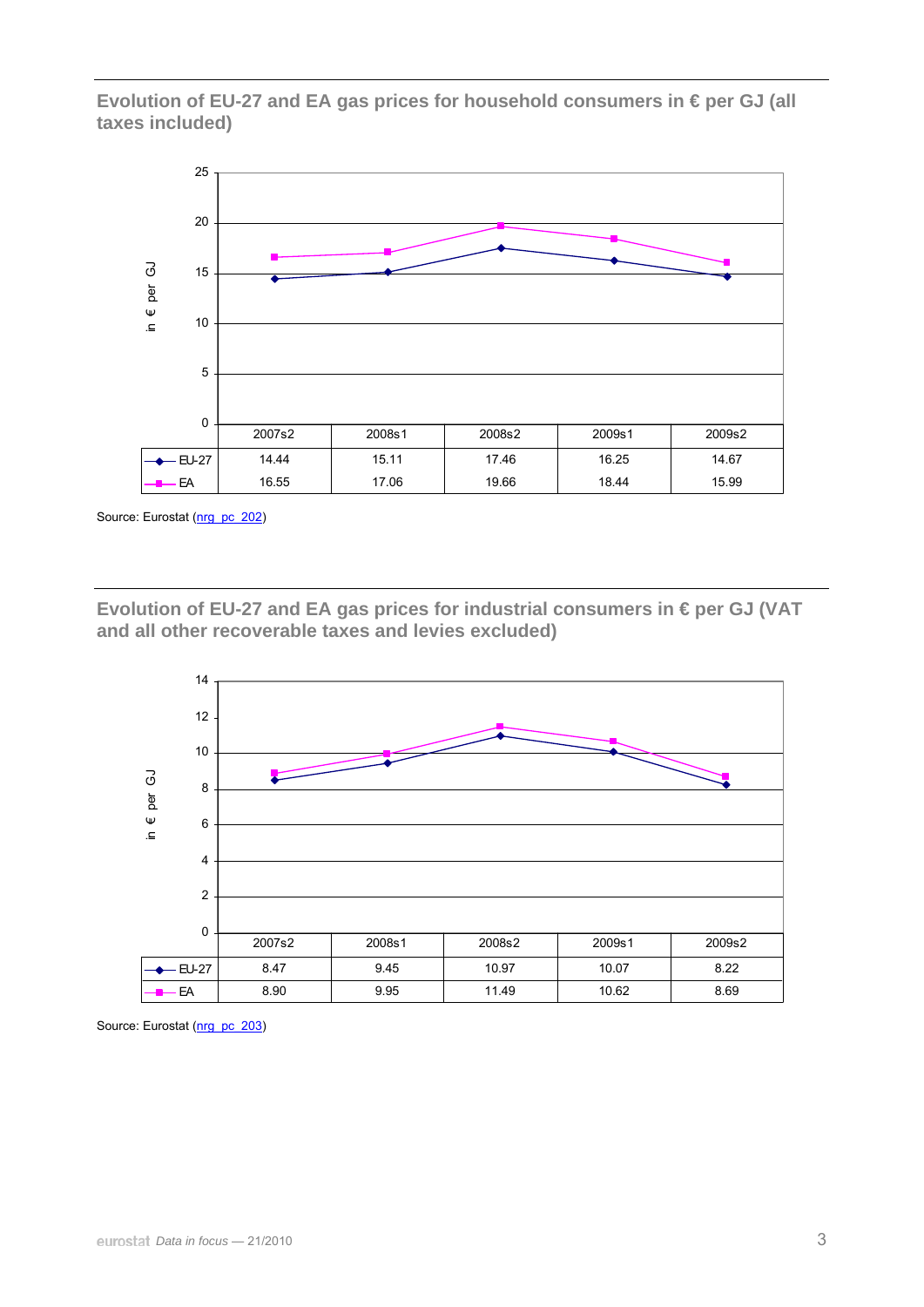**Evolution of EU-27 and EA gas prices for household consumers in € per GJ (all taxes included)** 



Source: Eurostat ([nrg\\_pc\\_202](http://ec.europa.eu/eurostat/product?mode=view&code=nrg_pc_202))

**Evolution of EU-27 and EA gas prices for industrial consumers in € per GJ (VAT and all other recoverable taxes and levies excluded)** 



Source: Eurostat ([nrg\\_pc\\_203](http://ec.europa.eu/eurostat/product?mode=view&code=nrg_pc_203))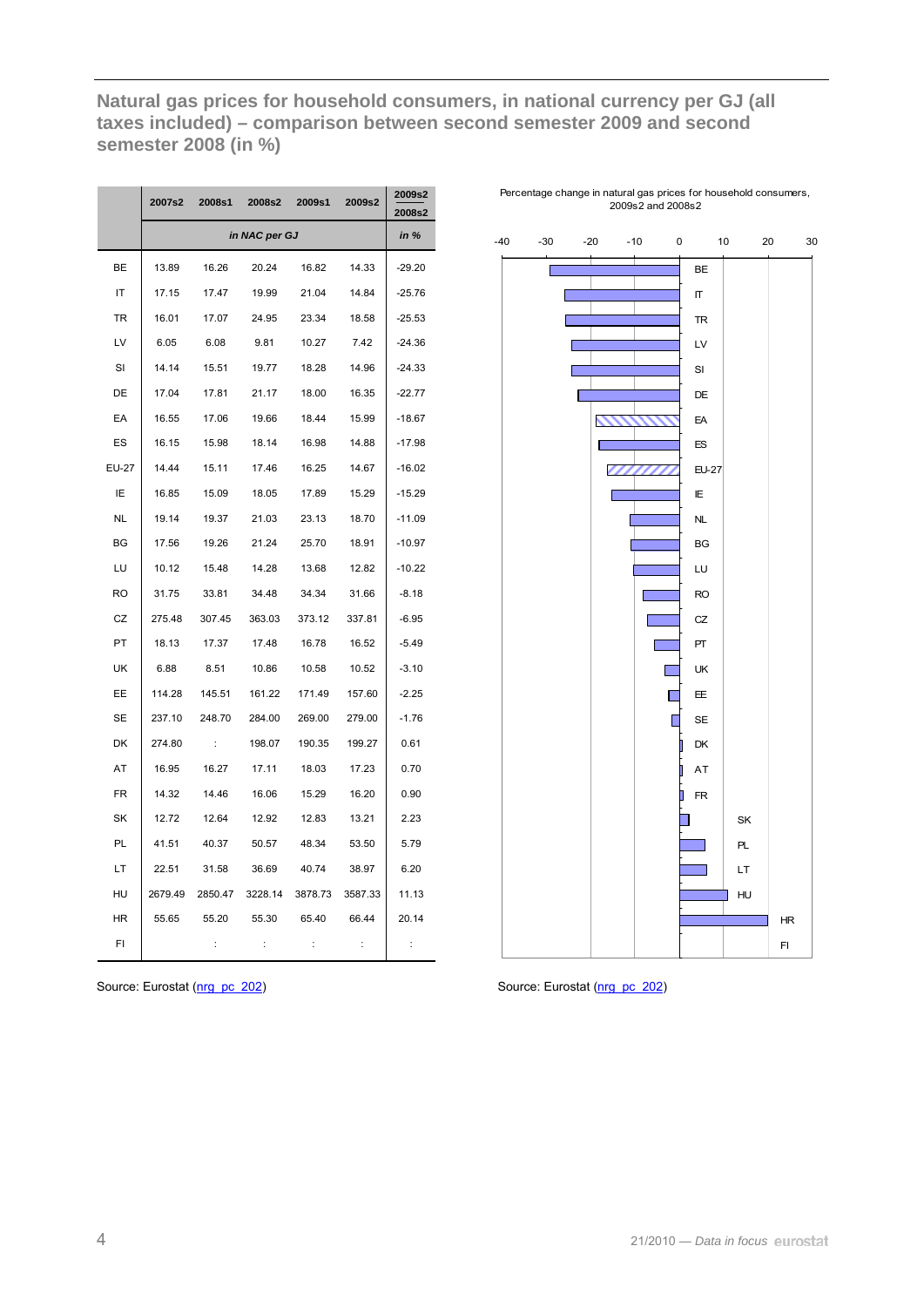**Natural gas prices for household consumers, in national currency per GJ (all taxes included) – comparison between second semester 2009 and second semester 2008 (in %)** 

|              | 2007s2  | 2008s1         | 2008s2        | 2009s1         | 2009s2         | 2009s2<br>2008s2 |
|--------------|---------|----------------|---------------|----------------|----------------|------------------|
|              |         |                | in NAC per GJ |                |                | in %             |
| BE           | 13.89   | 16.26          | 20.24         | 16.82          | 14.33          | $-29.20$         |
| IT           | 17.15   | 17.47          | 19.99         | 21.04          | 14.84          | $-25.76$         |
| TR           | 16.01   | 17.07          | 24.95         | 23.34          | 18.58          | $-25.53$         |
| LV           | 6.05    | 6.08           | 9.81          | 10.27          | 7.42           | $-24.36$         |
| SI           | 14.14   | 15.51          | 19.77         | 18.28          | 14.96          | $-24.33$         |
| DE           | 17.04   | 17.81          | 21.17         | 18.00          | 16.35          | $-22.77$         |
| EA           | 16.55   | 17.06          | 19.66         | 18.44          | 15.99          | $-18.67$         |
| ES           | 16.15   | 15.98          | 18.14         | 16.98          | 14.88          | $-17.98$         |
| <b>EU-27</b> | 14.44   | 15.11          | 17.46         | 16.25          | 14.67          | $-16.02$         |
| IE           | 16.85   | 15.09          | 18.05         | 17.89          | 15.29          | $-15.29$         |
| NL           | 19.14   | 19.37          | 21.03         | 23.13          | 18.70          | $-11.09$         |
| BG           | 17.56   | 19.26          | 21.24         | 25.70          | 18.91          | $-10.97$         |
| LU           | 10.12   | 15.48          | 14.28         | 13.68          | 12.82          | $-10.22$         |
| RO           | 31.75   | 33.81          | 34.48         | 34.34          | 31.66          | $-8.18$          |
| CZ           | 275.48  | 307.45         | 363.03        | 373.12         | 337.81         | $-6.95$          |
| PT           | 18.13   | 17.37          | 17.48         | 16.78          | 16.52          | $-5.49$          |
| UK           | 6.88    | 8.51           | 10.86         | 10.58          | 10.52          | $-3.10$          |
| EE           | 114.28  | 145.51         | 161.22        | 171.49         | 157.60         | $-2.25$          |
| SE           | 237.10  | 248.70         | 284.00        | 269.00         | 279.00         | $-1.76$          |
| DK           | 274.80  | ÷              | 198.07        | 190.35         | 199.27         | 0.61             |
| AT           | 16.95   | 16.27          | 17.11         | 18.03          | 17.23          | 0.70             |
| FR           | 14.32   | 14.46          | 16.06         | 15.29          | 16.20          | 0.90             |
| SK           | 12.72   | 12.64          | 12.92         | 12.83          | 13.21          | 2.23             |
| PL           | 41.51   | 40.37          | 50.57         | 48.34          | 53.50          | 5.79             |
| LT           | 22.51   | 31.58          | 36.69         | 40.74          | 38.97          | 6.20             |
| HU           | 2679.49 | 2850.47        | 3228.14       | 3878.73        | 3587.33        | 11.13            |
| ΗR           | 55.65   | 55.20          | 55.30         | 65.40          | 66.44          | 20.14            |
| FI           |         | $\ddot{\cdot}$ | ÷             | $\ddot{\cdot}$ | $\ddot{\cdot}$ | ÷                |

Percentage change in natural gas prices for household consumers, 2009s2 and 2008s2





I.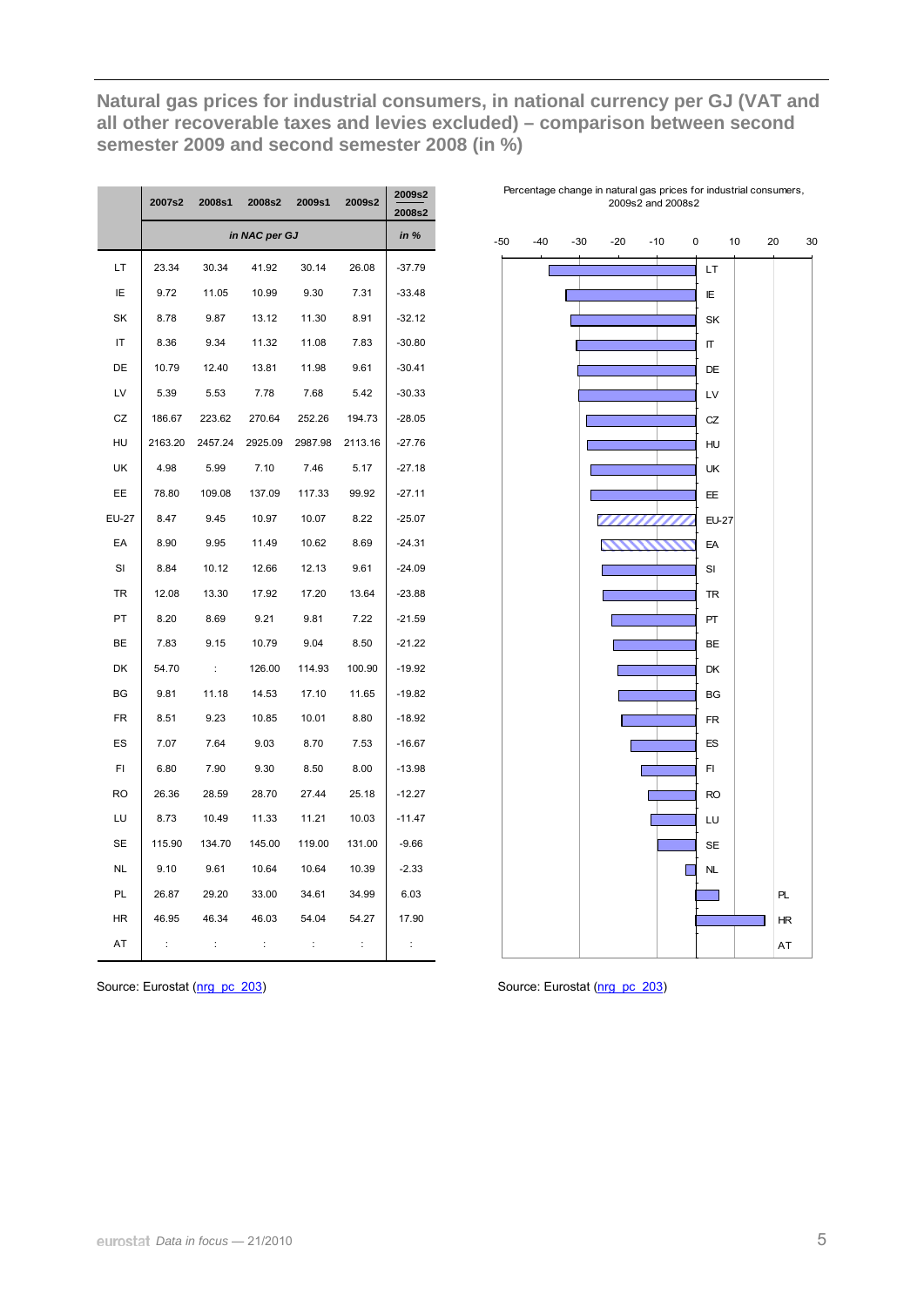**Natural gas prices for industrial consumers, in national currency per GJ (VAT and all other recoverable taxes and levies excluded) – comparison between second semester 2009 and second semester 2008 (in %)** 

|           | 2007s2  | 2008s1     | 2008s2        | 2009s1  | 2009s2  | 2009s2<br>2008s2 |
|-----------|---------|------------|---------------|---------|---------|------------------|
|           |         |            | in NAC per GJ |         |         | in $%$           |
| LТ        | 23.34   | 30.34      | 41.92         | 30.14   | 26.08   | $-37.79$         |
| ΙE        | 9.72    | 11.05      | 10.99         | 9.30    | 7.31    | $-33.48$         |
| SK        | 8.78    | 9.87       | 13.12         | 11.30   | 8.91    | $-32.12$         |
| IT        | 8.36    | 9.34       | 11.32         | 11.08   | 7.83    | $-30.80$         |
| DE        | 10.79   | 12.40      | 13.81         | 11.98   | 9.61    | $-30.41$         |
| LV        | 5.39    | 5.53       | 7.78          | 7.68    | 5.42    | $-30.33$         |
| CZ        | 186.67  | 223.62     | 270.64        | 252.26  | 194.73  | $-28.05$         |
| HU        | 2163.20 | 2457.24    | 2925.09       | 2987.98 | 2113.16 | $-27.76$         |
| UK        | 4.98    | 5.99       | 7.10          | 7.46    | 5.17    | $-27.18$         |
| EE        | 78.80   | 109.08     | 137.09        | 117.33  | 99.92   | $-27.11$         |
| EU-27     | 8.47    | 9.45       | 10.97         | 10.07   | 8.22    | $-25.07$         |
| EA        | 8.90    | 9.95       | 11.49         | 10.62   | 8.69    | $-24.31$         |
| SI        | 8.84    | 10.12      | 12.66         | 12.13   | 9.61    | $-24.09$         |
| TR        | 12.08   | 13.30      | 17.92         | 17.20   | 13.64   | $-23.88$         |
| PT        | 8.20    | 8.69       | 9.21          | 9.81    | 7.22    | $-21.59$         |
| BЕ        | 7.83    | 9.15       | 10.79         | 9.04    | 8.50    | $-21.22$         |
| DK        | 54.70   | $\sim$ 100 | 126.00        | 114.93  | 100.90  | $-19.92$         |
| BG        | 9.81    | 11.18      | 14.53         | 17.10   | 11.65   | $-19.82$         |
| <b>FR</b> | 8.51    | 9.23       | 10.85         | 10.01   | 8.80    | $-18.92$         |
| ES        | 7.07    | 7.64       | 9.03          | 8.70    | 7.53    | $-16.67$         |
| FI.       | 6.80    | 7.90       | 9.30          | 8.50    | 8.00    | $-13.98$         |
| <b>RO</b> | 26.36   | 28.59      | 28.70         | 27.44   | 25.18   | $-12.27$         |
| LU        | 8.73    | 10.49      | 11.33         | 11.21   | 10.03   | $-11.47$         |
| <b>SE</b> | 115.90  | 134.70     | 145.00        | 119.00  | 131.00  | $-9.66$          |
| NL        | 9.10    | 9.61       | 10.64         | 10.64   | 10.39   | $-2.33$          |
| PL        | 26.87   | 29.20      | 33.00         | 34.61   | 34.99   | 6.03             |
| ΗR        | 46.95   | 46.34      | 46.03         | 54.04   | 54.27   | 17.90            |
| AT        | ÷       | ÷          | ÷             | ÷       | ÷       | ÷                |

Percentage change in natural gas prices for industrial consumers, 2009s2 and 2008s2



Source: Eurostat ([nrg\\_pc\\_203](http://ec.europa.eu/eurostat/product?mode=view&code=nrg_pc_203)) Source: Eurostat [\(nrg\\_pc\\_203](http://ec.europa.eu/eurostat/product?mode=view&code=nrg_pc_203))

I.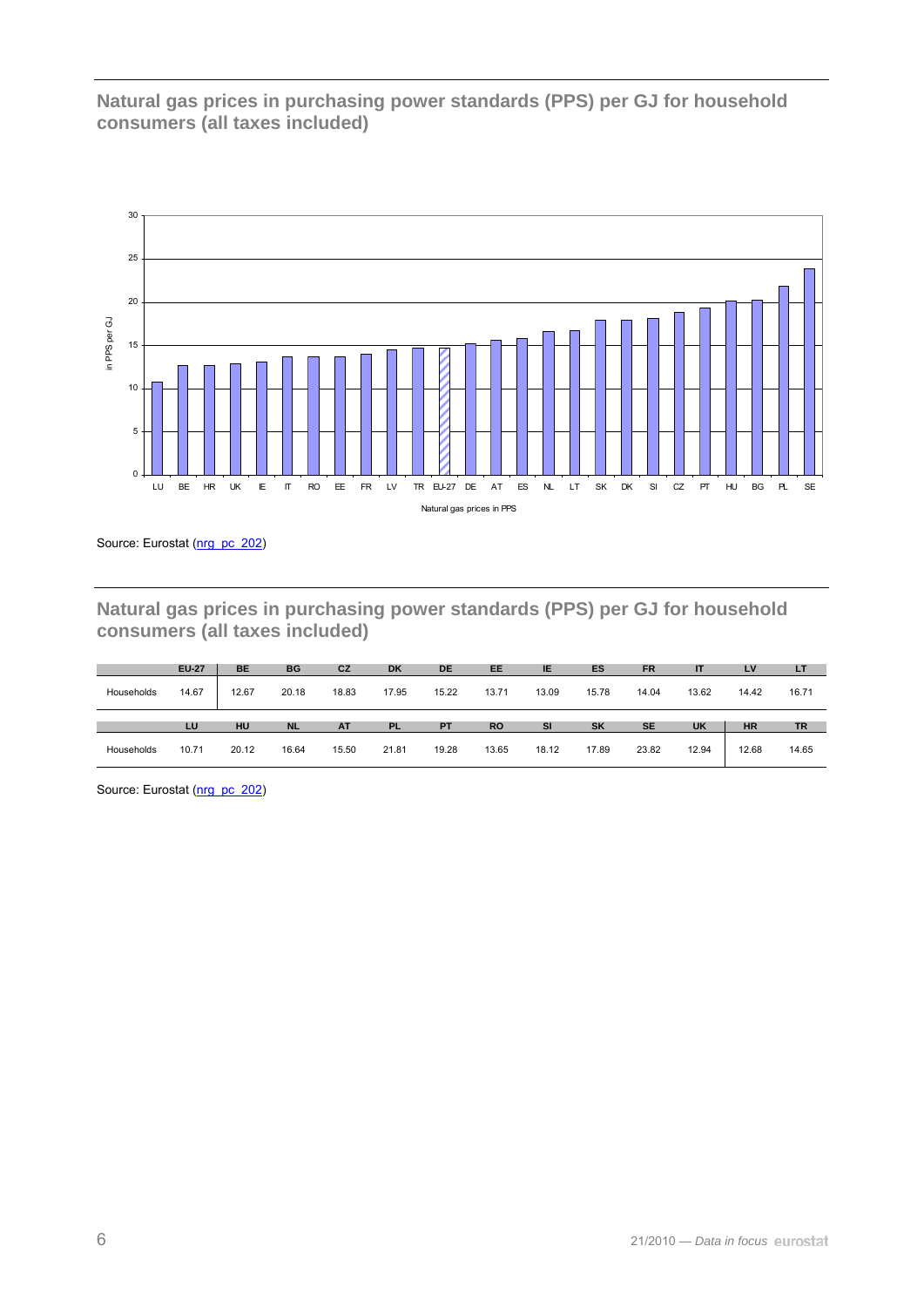**Natural gas prices in purchasing power standards (PPS) per GJ for household consumers (all taxes included)** 



Source: Eurostat ([nrg\\_pc\\_202](http://ec.europa.eu/eurostat/product?mode=view&code=nrg_pc_202))

**Natural gas prices in purchasing power standards (PPS) per GJ for household consumers (all taxes included)** 

|            | <b>EU-27</b> | <b>BE</b> | <b>BG</b> | CZ        | <b>DK</b> | <b>DE</b> | EE        | IE        | <b>ES</b> | <b>FR</b> |           | LV        | LT    |
|------------|--------------|-----------|-----------|-----------|-----------|-----------|-----------|-----------|-----------|-----------|-----------|-----------|-------|
| Households | 14.67        | 12.67     | 20.18     | 18.83     | 17.95     | 15.22     | 13.71     | 13.09     | 15.78     | 14.04     | 13.62     | 14.42     | 16.71 |
|            |              |           |           |           |           |           |           |           |           |           |           |           |       |
|            | LU           | HU        | <b>NL</b> | <b>AT</b> | <b>PL</b> | <b>PT</b> | <b>RO</b> | <b>SI</b> | <b>SK</b> | <b>SE</b> | <b>UK</b> | <b>HR</b> | TR    |

Source: Eurostat (nrg\_pc\_202)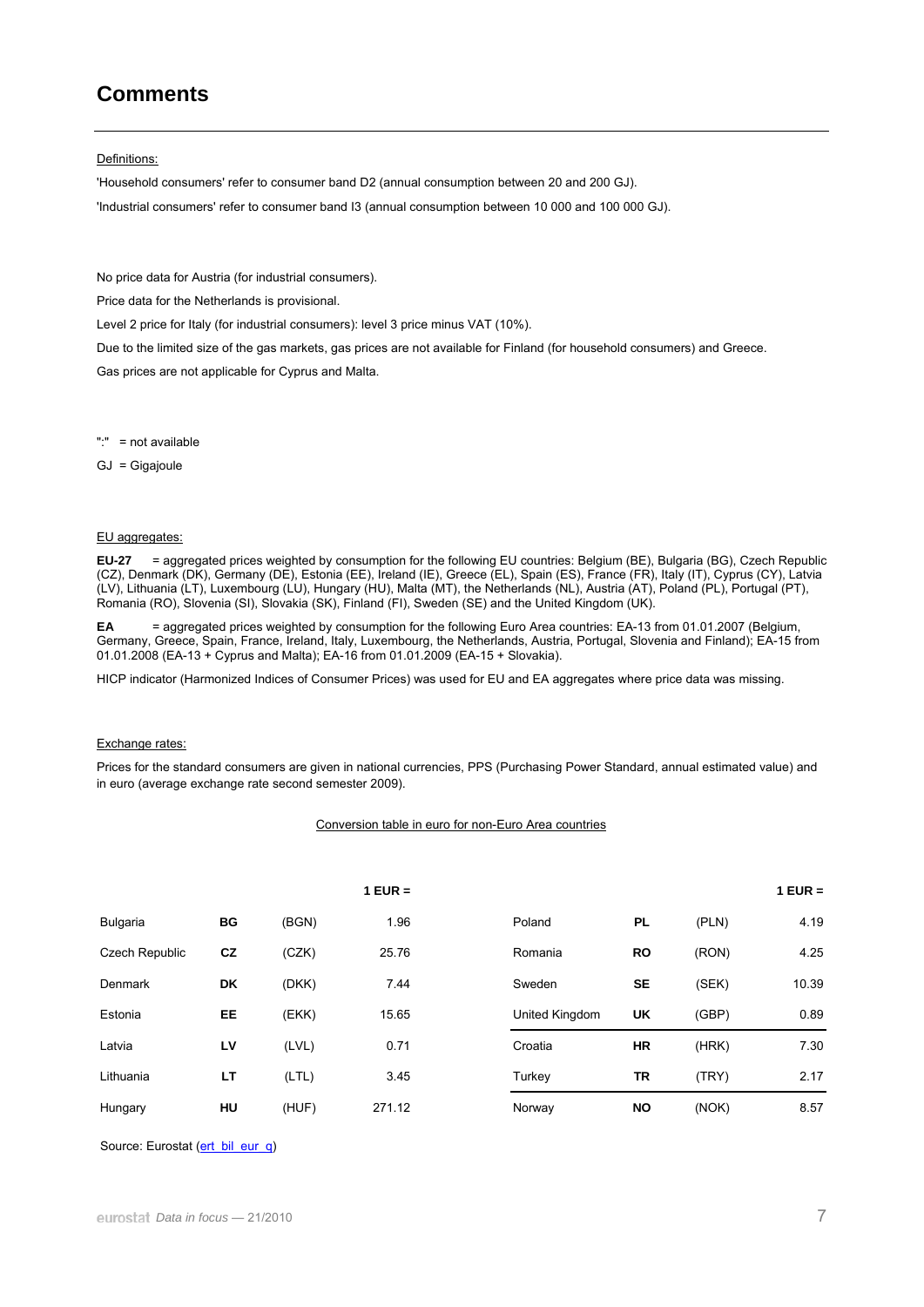# **Comments**

#### Definitions:

'Household consumers' refer to consumer band D2 (annual consumption between 20 and 200 GJ). 'Industrial consumers' refer to consumer band I3 (annual consumption between 10 000 and 100 000 GJ).

No price data for Austria (for industrial consumers).

Price data for the Netherlands is provisional.

Level 2 price for Italy (for industrial consumers): level 3 price minus VAT (10%).

Due to the limited size of the gas markets, gas prices are not available for Finland (for household consumers) and Greece. Gas prices are not applicable for Cyprus and Malta.

":" = not available

GJ = Gigajoule

#### EU aggregates:

**EU-27** = aggregated prices weighted by consumption for the following EU countries: Belgium (BE), Bulgaria (BG), Czech Republic (CZ), Denmark (DK), Germany (DE), Estonia (EE), Ireland (IE), Greece (EL), Spain (ES), France (FR), Italy (IT), Cyprus (CY), Latvia (LV), Lithuania (LT), Luxembourg (LU), Hungary (HU), Malta (MT), the Netherlands (NL), Austria (AT), Poland (PL), Portugal (PT), Romania (RO), Slovenia (SI), Slovakia (SK), Finland (FI), Sweden (SE) and the United Kingdom (UK).

**EA** = aggregated prices weighted by consumption for the following Euro Area countries: EA-13 from 01.01.2007 (Belgium, Germany, Greece, Spain, France, Ireland, Italy, Luxembourg, the Netherlands, Austria, Portugal, Slovenia and Finland); EA-15 from 01.01.2008 (EA-13 + Cyprus and Malta); EA-16 from 01.01.2009 (EA-15 + Slovakia).

HICP indicator (Harmonized Indices of Consumer Prices) was used for EU and EA aggregates where price data was missing.

#### Exchange rates:

Prices for the standard consumers are given in national currencies, PPS (Purchasing Power Standard, annual estimated value) and in euro (average exchange rate second semester 2009).

### Conversion table in euro for non-Euro Area countries

|                       |           |       | $1$ EUR = |                |           |       | $1$ EUR = |
|-----------------------|-----------|-------|-----------|----------------|-----------|-------|-----------|
| <b>Bulgaria</b>       | BG        | (BGN) | 1.96      | Poland         | <b>PL</b> | (PLN) | 4.19      |
| <b>Czech Republic</b> | cz        | (CZK) | 25.76     | Romania        | <b>RO</b> | (RON) | 4.25      |
| Denmark               | <b>DK</b> | (DKK) | 7.44      | Sweden         | <b>SE</b> | (SEK) | 10.39     |
| Estonia               | EE        | (EKK) | 15.65     | United Kingdom | UK        | (GBP) | 0.89      |
| Latvia                | LV        | (LVL) | 0.71      | Croatia        | <b>HR</b> | (HRK) | 7.30      |
| Lithuania             | LT        | (LTL) | 3.45      | Turkey         | TR        | (TRY) | 2.17      |
| Hungary               | HU        | (HUF) | 271.12    | Norway         | <b>NO</b> | (NOK) | 8.57      |

Source: Eurostat ([ert\\_bil\\_eur\\_q\)](http://ec.europa.eu/eurostat/product?mode=view&code=ert_bil_eur_q)